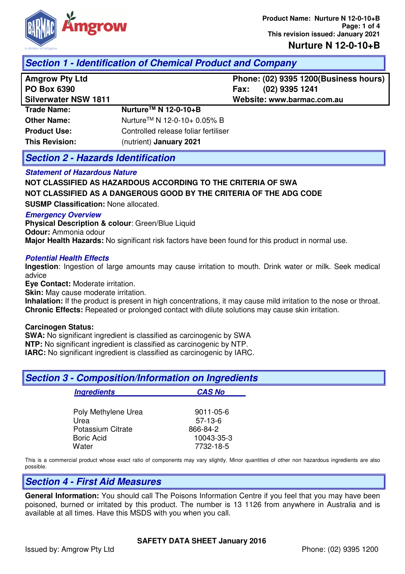

### **Nurture N 12-0-10+B**

## **Section 1 - Identification of Chemical Product and Company**

| <b>Amgrow Pty Ltd</b> |  |  |
|-----------------------|--|--|
|                       |  |  |

**Amgrow Pty Ltd Phone: (02) 9395 1200(Business hours) PO Box 6390 Fax: (02) 9395 1241** 

**Silverwater NSW 1811 Website: www.barmac.com.au Trade Name: Other Name: Product Use: This Revision: NurtureTM N 12-0-10+B** NurtureTM N 12-0-10+ 0.05% B Controlled release foliar fertiliser (nutrient) **January 2021**

## **Section 2 - Hazards Identification**

#### **Statement of Hazardous Nature**

**NOT CLASSIFIED AS HAZARDOUS ACCORDING TO THE CRITERIA OF SWA NOT CLASSIFIED AS A DANGEROUS GOOD BY THE CRITERIA OF THE ADG CODE** 

**SUSMP Classification:** None allocated.

#### **Emergency Overview**

**Physical Description & colour: Green/Blue Liquid Odour:** Ammonia odour **Major Health Hazards:** No significant risk factors have been found for this product in normal use.

### **Potential Health Effects**

**Ingestion**: Ingestion of large amounts may cause irritation to mouth. Drink water or milk. Seek medical advice

**Eye Contact:** Moderate irritation.

**Skin:** May cause moderate irritation.

**Inhalation:** If the product is present in high concentrations, it may cause mild irritation to the nose or throat. **Chronic Effects:** Repeated or prolonged contact with dilute solutions may cause skin irritation.

#### **Carcinogen Status:**

**SWA:** No significant ingredient is classified as carcinogenic by SWA **NTP:** No significant ingredient is classified as carcinogenic by NTP. **IARC:** No significant ingredient is classified as carcinogenic by IARC.

| <b>Section 3 - Composition/Information on Ingredients</b> |               |  |
|-----------------------------------------------------------|---------------|--|
| <b>Ingredients</b>                                        | <b>CAS No</b> |  |
| Poly Methylene Urea                                       | 9011-05-6     |  |
| Urea                                                      | $57-13-6$     |  |
| Potassium Citrate                                         | 866-84-2      |  |
| <b>Boric Acid</b>                                         | 10043-35-3    |  |
| Water                                                     | 7732-18-5     |  |

This is a commercial product whose exact ratio of components may vary slightly. Minor quantities of other non hazardous ingredients are also possible.

### **Section 4 - First Aid Measures**

**General Information:** You should call The Poisons Information Centre if you feel that you may have been poisoned, burned or irritated by this product. The number is 13 1126 from anywhere in Australia and is available at all times. Have this MSDS with you when you call.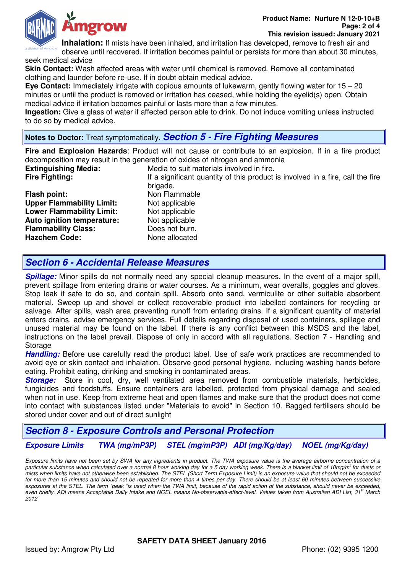

**Inhalation:** If mists have been inhaled, and irritation has developed, remove to fresh air and

observe until recovered. If irritation becomes painful or persists for more than about 30 minutes, seek medical advice

**Skin Contact:** Wash affected areas with water until chemical is removed. Remove all contaminated clothing and launder before re-use. If in doubt obtain medical advice.

**Eye Contact:** Immediately irrigate with copious amounts of lukewarm, gently flowing water for 15 – 20 minutes or until the product is removed or irritation has ceased, while holding the eyelid(s) open. Obtain medical advice if irritation becomes painful or lasts more than a few minutes.

**Ingestion:** Give a glass of water if affected person able to drink. Do not induce vomiting unless instructed to do so by medical advice.

# **Notes to Doctor:** Treat symptomatically. **Section 5 - Fire Fighting Measures**

**Fire and Explosion Hazards**: Product will not cause or contribute to an explosion. If in a fire product decomposition may result in the generation of oxides of nitrogen and ammonia

**Extinguishing Media:** Media to suit materials involved in fire.<br>**Fire Fighting:** Tries of this product less in the significant quantity of this product **Fire Fighting:** If a significant quantity of this product is involved in a fire, call the fire

**Flash point:** Non Flammable **Upper Flammability Limit:** Not applicable **Lower Flammability Limit:** Not applicable **Auto ignition temperature:** Not applicable **Flammability Class:** Does not burn. **Hazchem Code:** None allocated

brigade.

## **Section 6 - Accidental Release Measures**

**Spillage:** Minor spills do not normally need any special cleanup measures. In the event of a major spill, prevent spillage from entering drains or water courses. As a minimum, wear overalls, goggles and gloves. Stop leak if safe to do so, and contain spill. Absorb onto sand, vermiculite or other suitable absorbent material. Sweep up and shovel or collect recoverable product into labelled containers for recycling or salvage. After spills, wash area preventing runoff from entering drains. If a significant quantity of material enters drains, advise emergency services. Full details regarding disposal of used containers, spillage and unused material may be found on the label. If there is any conflict between this MSDS and the label, instructions on the label prevail. Dispose of only in accord with all regulations. Section 7 - Handling and **Storage** 

**Handling:** Before use carefully read the product label. Use of safe work practices are recommended to avoid eye or skin contact and inhalation. Observe good personal hygiene, including washing hands before eating. Prohibit eating, drinking and smoking in contaminated areas.

**Storage:** Store in cool, dry, well ventilated area removed from combustible materials, herbicides, fungicides and foodstuffs. Ensure containers are labelled, protected from physical damage and sealed when not in use. Keep from extreme heat and open flames and make sure that the product does not come into contact with substances listed under "Materials to avoid" in Section 10. Bagged fertilisers should be stored under cover and out of direct sunlight

# **Section 8 - Exposure Controls and Personal Protection**

**Exposure Limits TWA (mg/mP3P) STEL (mg/mP3P) ADI (mg/Kg/day) NOEL (mg/Kg/day)** 

Exposure limits have not been set by SWA for any ingredients in product. The TWA exposure value is the average airborne concentration of a particular substance when calculated over a normal 8 hour working day for a 5 day working week. There is a blanket limit of 10mg/m<sup>3</sup> for dusts or mists when limits have not otherwise been established. The STEL (Short Term Exposure Limit) is an exposure value that should not be exceeded for more than 15 minutes and should not be repeated for more than 4 times per day. There should be at least 60 minutes between successive exposures at the STEL. The term "peak "is used when the TWA limit, because of the rapid action of the substance, should never be exceeded, even briefly. ADI means Acceptable Daily Intake and NOEL means No-observable-effect-level. Values taken from Australian ADI List, 31<sup>st</sup> March 2012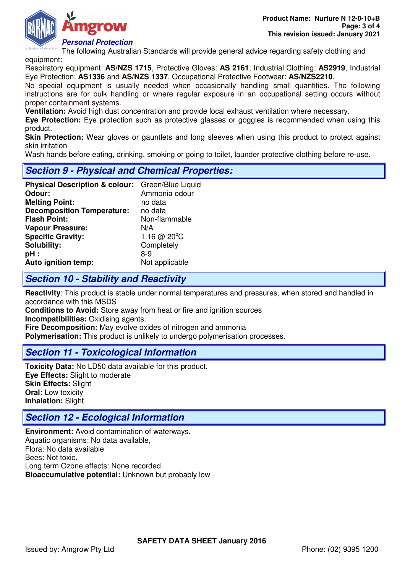

The following Australian Standards will provide general advice regarding safety clothing and equipment:

Respiratory equipment: **AS/NZS 1715**, Protective Gloves: **AS 2161**, Industrial Clothing: **AS2919**, Industrial Eye Protection: **AS1336** and **AS/NZS 1337**, Occupational Protective Footwear: **AS/NZS2210**.

No special equipment is usually needed when occasionally handling small quantities. The following instructions are for bulk handling or where regular exposure in an occupational setting occurs without proper containment systems.

**Ventilation:** Avoid high dust concentration and provide local exhaust ventilation where necessary.

**Eye Protection:** Eye protection such as protective glasses or goggles is recommended when using this product.

**Skin Protection:** Wear gloves or gauntlets and long sleeves when using this product to protect against skin irritation

Wash hands before eating, drinking, smoking or going to toilet, launder protective clothing before re-use.

# **Section 9 - Physical and Chemical Properties:**

| Physical Description & colour: Green/Blue Liquid |                       |
|--------------------------------------------------|-----------------------|
| Odour:                                           | Ammonia odour         |
| <b>Melting Point:</b>                            | no data               |
| <b>Decomposition Temperature:</b>                | no data               |
| <b>Flash Point:</b>                              | Non-flammable         |
| <b>Vapour Pressure:</b>                          | N/A                   |
| <b>Specific Gravity:</b>                         | 1.16 @ $20^{\circ}$ C |
| Solubility:                                      | Completely            |
| pH:                                              | 8-9                   |
| Auto ignition temp:                              | Not applicable        |

## **Section 10 - Stability and Reactivity**

**Reactivity**: This product is stable under normal temperatures and pressures, when stored and handled in accordance with this MSDS

**Conditions to Avoid:** Store away from heat or fire and ignition sources

**Incompatibilities: Oxidising agents.** 

**Fire Decomposition:** May evolve oxides of nitrogen and ammonia

**Polymerisation:** This product is unlikely to undergo polymerisation processes.

### **Section 11 - Toxicological Information**

**Toxicity Data:** No LD50 data available for this product. **Eye Effects:** Slight to moderate **Skin Effects:** Slight **Oral:** Low toxicity **Inhalation:** Slight

# **Section 12 - Ecological Information**

**Environment:** Avoid contamination of waterways. Aquatic organisms: No data available, Flora: No data available Bees: Not toxic. Long term Ozone effects: None recorded. **Bioaccumulative potential:** Unknown but probably low